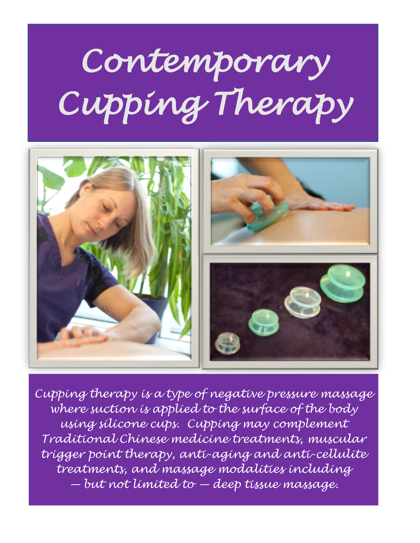## *Contemporary Cupping Therapy*



*Cupping therapy is a type of negative pressure massage where suction is applied to the surface of the body using silicone cups. Cupping may complement Traditional Chinese medicine treatments, muscular trigger point therapy, anti-aging and anti-cellulite treatments, and massage modalities including — but not limited to — deep tissue massage.*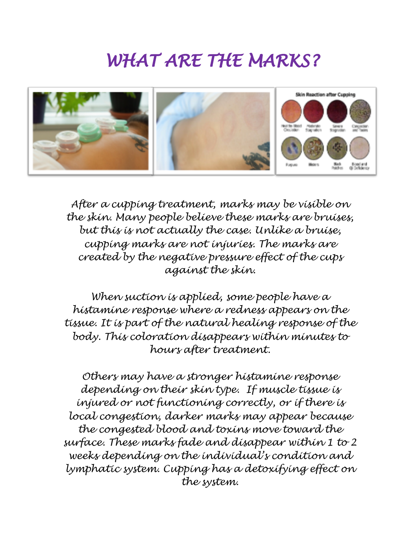## *WHAT ARE THE MARKS?*



*After a cupping treatment, marks may be visible on the skin. Many people believe these marks are bruises, but this is not actually the case. Unlike a bruise, cupping marks are not injuries. The marks are created by the negative pressure effect of the cups against the skin.*

*When suction is applied, some people have a histamine response where a redness appears on the tissue. It is part of the natural healing response of the body. This coloration disappears within minutes to hours after treatment.*

*Others may have a stronger histamine response depending on their skin type. If muscle tissue is injured or not functioning correctly, or if there is local congestion, darker marks may appear because the congested blood and toxins move toward the surface. These marks fade and disappear within 1 to 2 weeks depending on the individual's condition and lymphatic system. Cupping has a detoxifying effect on the system.*